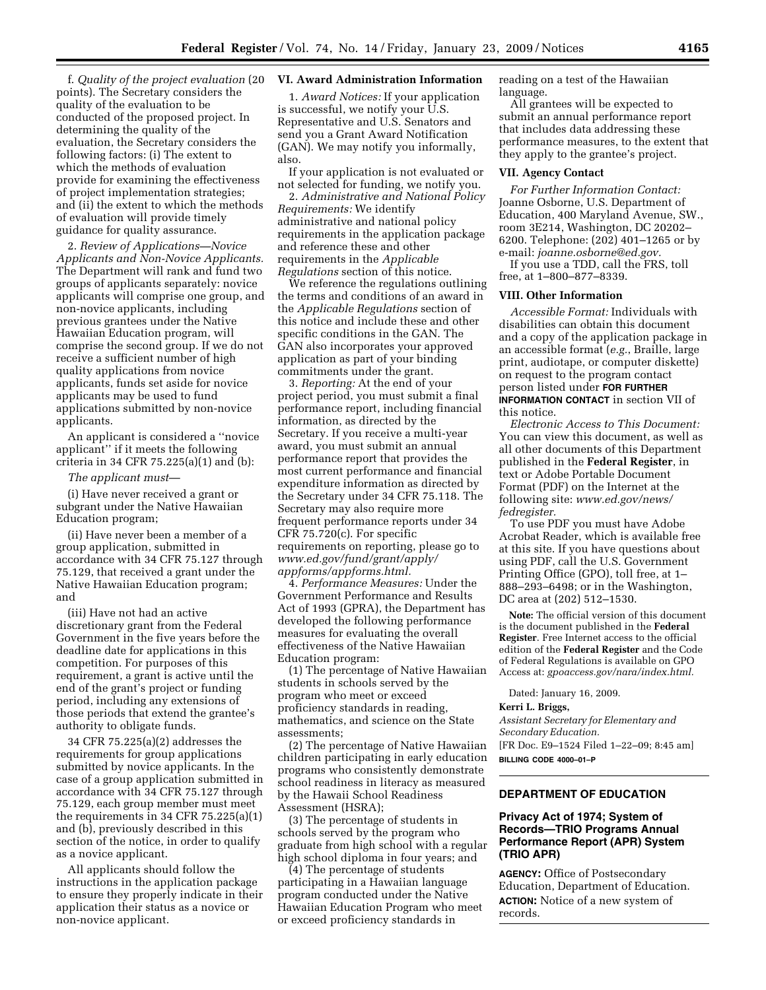f. *Quality of the project evaluation* (20 points). The Secretary considers the quality of the evaluation to be conducted of the proposed project. In determining the quality of the evaluation, the Secretary considers the following factors: (i) The extent to which the methods of evaluation provide for examining the effectiveness of project implementation strategies; and (ii) the extent to which the methods of evaluation will provide timely guidance for quality assurance.

2. *Review of Applications—Novice Applicants and Non-Novice Applicants.*  The Department will rank and fund two groups of applicants separately: novice applicants will comprise one group, and non-novice applicants, including previous grantees under the Native Hawaiian Education program, will comprise the second group. If we do not receive a sufficient number of high quality applications from novice applicants, funds set aside for novice applicants may be used to fund applications submitted by non-novice applicants.

An applicant is considered a ''novice applicant'' if it meets the following criteria in 34 CFR 75.225(a)(1) and (b):

## *The applicant must*—

(i) Have never received a grant or subgrant under the Native Hawaiian Education program;

(ii) Have never been a member of a group application, submitted in accordance with 34 CFR 75.127 through 75.129, that received a grant under the Native Hawaiian Education program; and

(iii) Have not had an active discretionary grant from the Federal Government in the five years before the deadline date for applications in this competition. For purposes of this requirement, a grant is active until the end of the grant's project or funding period, including any extensions of those periods that extend the grantee's authority to obligate funds.

34 CFR 75.225(a)(2) addresses the requirements for group applications submitted by novice applicants. In the case of a group application submitted in accordance with 34 CFR 75.127 through 75.129, each group member must meet the requirements in 34 CFR 75.225(a)(1) and (b), previously described in this section of the notice, in order to qualify as a novice applicant.

All applicants should follow the instructions in the application package to ensure they properly indicate in their application their status as a novice or non-novice applicant.

# **VI. Award Administration Information**

1. *Award Notices:* If your application is successful, we notify your U.S. Representative and U.S. Senators and send you a Grant Award Notification (GAN). We may notify you informally, also.

If your application is not evaluated or not selected for funding, we notify you.

2. *Administrative and National Policy Requirements:* We identify administrative and national policy requirements in the application package and reference these and other requirements in the *Applicable Regulations* section of this notice.

We reference the regulations outlining the terms and conditions of an award in the *Applicable Regulations* section of this notice and include these and other specific conditions in the GAN. The GAN also incorporates your approved application as part of your binding commitments under the grant.

3. *Reporting:* At the end of your project period, you must submit a final performance report, including financial information, as directed by the Secretary. If you receive a multi-year award, you must submit an annual performance report that provides the most current performance and financial expenditure information as directed by the Secretary under 34 CFR 75.118. The Secretary may also require more frequent performance reports under 34 CFR 75.720(c). For specific requirements on reporting, please go to *www.ed.gov/fund/grant/apply/ appforms/appforms.html.* 

4. *Performance Measures:* Under the Government Performance and Results Act of 1993 (GPRA), the Department has developed the following performance measures for evaluating the overall effectiveness of the Native Hawaiian Education program:

(1) The percentage of Native Hawaiian students in schools served by the program who meet or exceed proficiency standards in reading, mathematics, and science on the State assessments;

(2) The percentage of Native Hawaiian children participating in early education programs who consistently demonstrate school readiness in literacy as measured by the Hawaii School Readiness Assessment (HSRA);

(3) The percentage of students in schools served by the program who graduate from high school with a regular high school diploma in four years; and

(4) The percentage of students participating in a Hawaiian language program conducted under the Native Hawaiian Education Program who meet or exceed proficiency standards in

reading on a test of the Hawaiian language.

All grantees will be expected to submit an annual performance report that includes data addressing these performance measures, to the extent that they apply to the grantee's project.

#### **VII. Agency Contact**

*For Further Information Contact:*  Joanne Osborne, U.S. Department of Education, 400 Maryland Avenue, SW., room 3E214, Washington, DC 20202– 6200. Telephone: (202) 401–1265 or by e-mail: *joanne.osborne@ed.gov.* 

If you use a TDD, call the FRS, toll free, at 1–800–877–8339.

#### **VIII. Other Information**

*Accessible Format:* Individuals with disabilities can obtain this document and a copy of the application package in an accessible format (*e.g.*, Braille, large print, audiotape, or computer diskette) on request to the program contact person listed under **FOR FURTHER INFORMATION CONTACT** in section VII of this notice.

*Electronic Access to This Document:*  You can view this document, as well as all other documents of this Department published in the **Federal Register**, in text or Adobe Portable Document Format (PDF) on the Internet at the following site: *www.ed.gov/news/ fedregister.* 

To use PDF you must have Adobe Acrobat Reader, which is available free at this site. If you have questions about using PDF, call the U.S. Government Printing Office (GPO), toll free, at 1– 888–293–6498; or in the Washington, DC area at (202) 512–1530.

**Note:** The official version of this document is the document published in the **Federal Register**. Free Internet access to the official edition of the **Federal Register** and the Code of Federal Regulations is available on GPO Access at: *gpoaccess.gov/nara/index.html.* 

Dated: January 16, 2009.

## **Kerri L. Briggs,**

*Assistant Secretary for Elementary and Secondary Education.*  [FR Doc. E9–1524 Filed 1–22–09; 8:45 am] **BILLING CODE 4000–01–P** 

# **DEPARTMENT OF EDUCATION**

# **Privacy Act of 1974; System of Records—TRIO Programs Annual Performance Report (APR) System (TRIO APR)**

**AGENCY:** Office of Postsecondary Education, Department of Education. **ACTION:** Notice of a new system of records.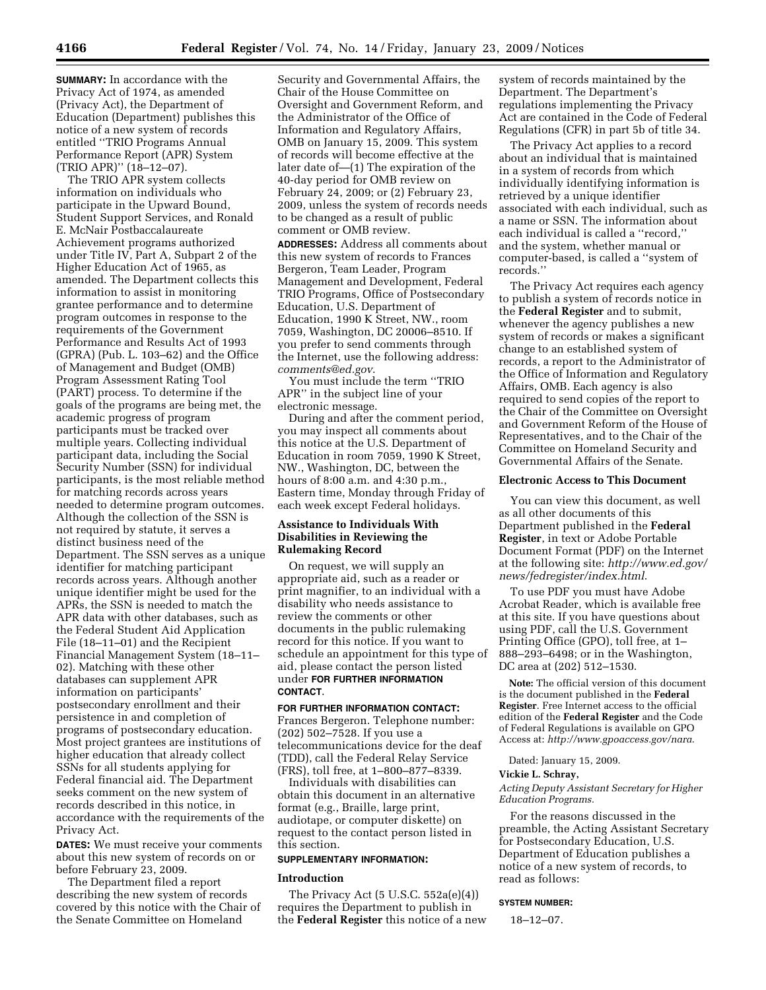**SUMMARY:** In accordance with the Privacy Act of 1974, as amended (Privacy Act), the Department of Education (Department) publishes this notice of a new system of records entitled ''TRIO Programs Annual Performance Report (APR) System (TRIO APR)'' (18–12–07).

The TRIO APR system collects information on individuals who participate in the Upward Bound, Student Support Services, and Ronald E. McNair Postbaccalaureate Achievement programs authorized under Title IV, Part A, Subpart 2 of the Higher Education Act of 1965, as amended. The Department collects this information to assist in monitoring grantee performance and to determine program outcomes in response to the requirements of the Government Performance and Results Act of 1993 (GPRA) (Pub. L. 103–62) and the Office of Management and Budget (OMB) Program Assessment Rating Tool (PART) process. To determine if the goals of the programs are being met, the academic progress of program participants must be tracked over multiple years. Collecting individual participant data, including the Social Security Number (SSN) for individual participants, is the most reliable method for matching records across years needed to determine program outcomes. Although the collection of the SSN is not required by statute, it serves a distinct business need of the Department. The SSN serves as a unique identifier for matching participant records across years. Although another unique identifier might be used for the APRs, the SSN is needed to match the APR data with other databases, such as the Federal Student Aid Application File (18–11–01) and the Recipient Financial Management System (18–11– 02). Matching with these other databases can supplement APR information on participants' postsecondary enrollment and their persistence in and completion of programs of postsecondary education. Most project grantees are institutions of higher education that already collect SSNs for all students applying for Federal financial aid. The Department seeks comment on the new system of records described in this notice, in accordance with the requirements of the Privacy Act.

**DATES:** We must receive your comments about this new system of records on or before February 23, 2009.

The Department filed a report describing the new system of records covered by this notice with the Chair of the Senate Committee on Homeland

Security and Governmental Affairs, the Chair of the House Committee on Oversight and Government Reform, and the Administrator of the Office of Information and Regulatory Affairs, OMB on January 15, 2009. This system of records will become effective at the later date of—(1) The expiration of the 40-day period for OMB review on February 24, 2009; or (2) February 23, 2009, unless the system of records needs to be changed as a result of public comment or OMB review.

**ADDRESSES:** Address all comments about this new system of records to Frances Bergeron, Team Leader, Program Management and Development, Federal TRIO Programs, Office of Postsecondary Education, U.S. Department of Education, 1990 K Street, NW., room 7059, Washington, DC 20006–8510. If you prefer to send comments through the Internet, use the following address: *comments@ed.gov*.

You must include the term ''TRIO APR'' in the subject line of your electronic message.

During and after the comment period, you may inspect all comments about this notice at the U.S. Department of Education in room 7059, 1990 K Street, NW., Washington, DC, between the hours of 8:00 a.m. and 4:30 p.m., Eastern time, Monday through Friday of each week except Federal holidays.

# **Assistance to Individuals With Disabilities in Reviewing the Rulemaking Record**

On request, we will supply an appropriate aid, such as a reader or print magnifier, to an individual with a disability who needs assistance to review the comments or other documents in the public rulemaking record for this notice. If you want to schedule an appointment for this type of aid, please contact the person listed under **FOR FURTHER INFORMATION CONTACT**.

# **FOR FURTHER INFORMATION CONTACT:**

Frances Bergeron. Telephone number: (202) 502–7528. If you use a telecommunications device for the deaf (TDD), call the Federal Relay Service (FRS), toll free, at 1–800–877–8339.

Individuals with disabilities can obtain this document in an alternative format (e.g., Braille, large print, audiotape, or computer diskette) on request to the contact person listed in this section.

## **SUPPLEMENTARY INFORMATION:**

#### **Introduction**

The Privacy Act (5 U.S.C. 552a(e)(4)) requires the Department to publish in the **Federal Register** this notice of a new

system of records maintained by the Department. The Department's regulations implementing the Privacy Act are contained in the Code of Federal Regulations (CFR) in part 5b of title 34.

The Privacy Act applies to a record about an individual that is maintained in a system of records from which individually identifying information is retrieved by a unique identifier associated with each individual, such as a name or SSN. The information about each individual is called a ''record,'' and the system, whether manual or computer-based, is called a ''system of records.''

The Privacy Act requires each agency to publish a system of records notice in the **Federal Register** and to submit, whenever the agency publishes a new system of records or makes a significant change to an established system of records, a report to the Administrator of the Office of Information and Regulatory Affairs, OMB. Each agency is also required to send copies of the report to the Chair of the Committee on Oversight and Government Reform of the House of Representatives, and to the Chair of the Committee on Homeland Security and Governmental Affairs of the Senate.

# **Electronic Access to This Document**

You can view this document, as well as all other documents of this Department published in the **Federal Register**, in text or Adobe Portable Document Format (PDF) on the Internet at the following site: *http://www.ed.gov/ news/fedregister/index.html*.

To use PDF you must have Adobe Acrobat Reader, which is available free at this site. If you have questions about using PDF, call the U.S. Government Printing Office (GPO), toll free, at 1– 888–293–6498; or in the Washington, DC area at (202) 512–1530.

**Note:** The official version of this document is the document published in the **Federal Register**. Free Internet access to the official edition of the **Federal Register** and the Code of Federal Regulations is available on GPO Access at: *http://www.gpoaccess.gov/nara*.

Dated: January 15, 2009.

# **Vickie L. Schray,**

*Acting Deputy Assistant Secretary for Higher Education Programs.* 

For the reasons discussed in the preamble, the Acting Assistant Secretary for Postsecondary Education, U.S. Department of Education publishes a notice of a new system of records, to read as follows:

#### **SYSTEM NUMBER:**

18–12–07.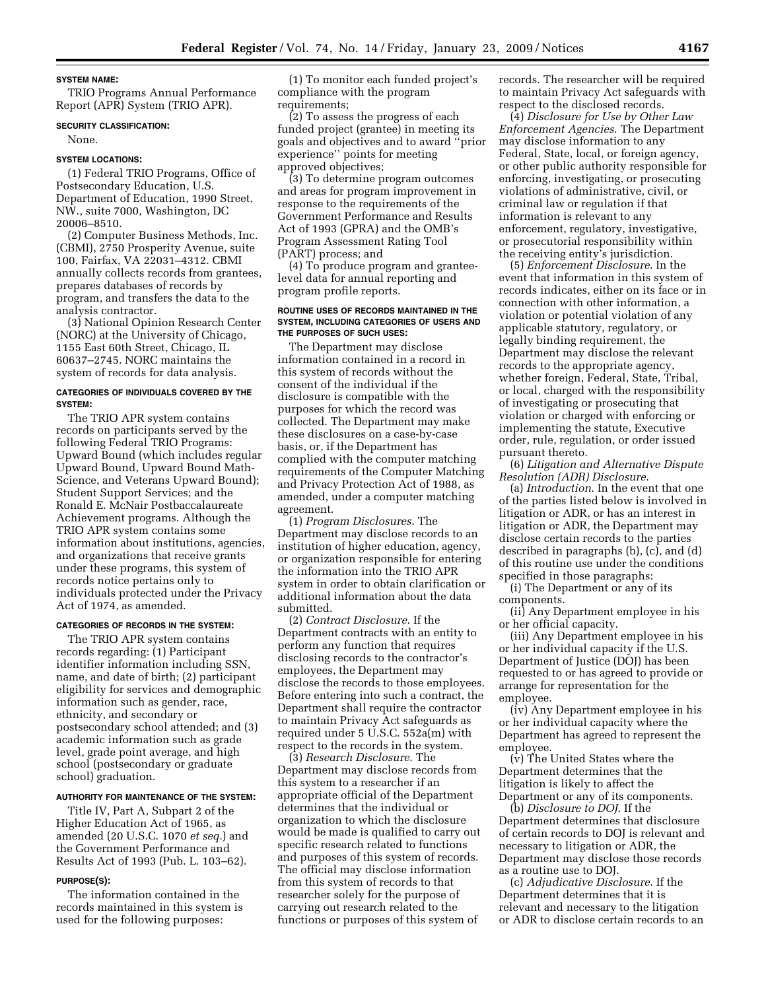#### **SYSTEM NAME:**

TRIO Programs Annual Performance Report (APR) System (TRIO APR).

## **SECURITY CLASSIFICATION:**

None.

## **SYSTEM LOCATIONS:**

(1) Federal TRIO Programs, Office of Postsecondary Education, U.S. Department of Education, 1990 Street, NW., suite 7000, Washington, DC 20006–8510.

(2) Computer Business Methods, Inc. (CBMI), 2750 Prosperity Avenue, suite 100, Fairfax, VA 22031–4312. CBMI annually collects records from grantees, prepares databases of records by program, and transfers the data to the analysis contractor.

(3) National Opinion Research Center (NORC) at the University of Chicago, 1155 East 60th Street, Chicago, IL 60637–2745. NORC maintains the system of records for data analysis.

## **CATEGORIES OF INDIVIDUALS COVERED BY THE SYSTEM:**

The TRIO APR system contains records on participants served by the following Federal TRIO Programs: Upward Bound (which includes regular Upward Bound, Upward Bound Math-Science, and Veterans Upward Bound); Student Support Services; and the Ronald E. McNair Postbaccalaureate Achievement programs. Although the TRIO APR system contains some information about institutions, agencies, and organizations that receive grants under these programs, this system of records notice pertains only to individuals protected under the Privacy Act of 1974, as amended.

#### **CATEGORIES OF RECORDS IN THE SYSTEM:**

The TRIO APR system contains records regarding: (1) Participant identifier information including SSN, name, and date of birth; (2) participant eligibility for services and demographic information such as gender, race, ethnicity, and secondary or postsecondary school attended; and (3) academic information such as grade level, grade point average, and high school (postsecondary or graduate school) graduation.

## **AUTHORITY FOR MAINTENANCE OF THE SYSTEM:**

Title IV, Part A, Subpart 2 of the Higher Education Act of 1965, as amended (20 U.S.C. 1070 *et seq.*) and the Government Performance and Results Act of 1993 (Pub. L. 103–62).

#### **PURPOSE(S):**

The information contained in the records maintained in this system is used for the following purposes:

(1) To monitor each funded project's compliance with the program requirements;

(2) To assess the progress of each funded project (grantee) in meeting its goals and objectives and to award ''prior experience'' points for meeting approved objectives;

(3) To determine program outcomes and areas for program improvement in response to the requirements of the Government Performance and Results Act of 1993 (GPRA) and the OMB's Program Assessment Rating Tool (PART) process; and

(4) To produce program and granteelevel data for annual reporting and program profile reports.

#### **ROUTINE USES OF RECORDS MAINTAINED IN THE SYSTEM, INCLUDING CATEGORIES OF USERS AND THE PURPOSES OF SUCH USES:**

The Department may disclose information contained in a record in this system of records without the consent of the individual if the disclosure is compatible with the purposes for which the record was collected. The Department may make these disclosures on a case-by-case basis, or, if the Department has complied with the computer matching requirements of the Computer Matching and Privacy Protection Act of 1988, as amended, under a computer matching agreement.

(1) *Program Disclosures*. The Department may disclose records to an institution of higher education, agency, or organization responsible for entering the information into the TRIO APR system in order to obtain clarification or additional information about the data submitted.

(2) *Contract Disclosure*. If the Department contracts with an entity to perform any function that requires disclosing records to the contractor's employees, the Department may disclose the records to those employees. Before entering into such a contract, the Department shall require the contractor to maintain Privacy Act safeguards as required under 5 U.S.C. 552a(m) with respect to the records in the system.

(3) *Research Disclosure*. The Department may disclose records from this system to a researcher if an appropriate official of the Department determines that the individual or organization to which the disclosure would be made is qualified to carry out specific research related to functions and purposes of this system of records. The official may disclose information from this system of records to that researcher solely for the purpose of carrying out research related to the functions or purposes of this system of

records. The researcher will be required to maintain Privacy Act safeguards with respect to the disclosed records.

(4) *Disclosure for Use by Other Law Enforcement Agencies*. The Department may disclose information to any Federal, State, local, or foreign agency, or other public authority responsible for enforcing, investigating, or prosecuting violations of administrative, civil, or criminal law or regulation if that information is relevant to any enforcement, regulatory, investigative, or prosecutorial responsibility within the receiving entity's jurisdiction.

(5) *Enforcement Disclosure*. In the event that information in this system of records indicates, either on its face or in connection with other information, a violation or potential violation of any applicable statutory, regulatory, or legally binding requirement, the Department may disclose the relevant records to the appropriate agency, whether foreign, Federal, State, Tribal, or local, charged with the responsibility of investigating or prosecuting that violation or charged with enforcing or implementing the statute, Executive order, rule, regulation, or order issued pursuant thereto.

(6) *Litigation and Alternative Dispute Resolution (ADR) Disclosure*.

(a) *Introduction*. In the event that one of the parties listed below is involved in litigation or ADR, or has an interest in litigation or ADR, the Department may disclose certain records to the parties described in paragraphs (b), (c), and (d) of this routine use under the conditions specified in those paragraphs:

(i) The Department or any of its components.

(ii) Any Department employee in his or her official capacity.

(iii) Any Department employee in his or her individual capacity if the U.S. Department of Justice (DOJ) has been requested to or has agreed to provide or arrange for representation for the employee.

(iv) Any Department employee in his or her individual capacity where the Department has agreed to represent the employee.

(v) The United States where the Department determines that the litigation is likely to affect the Department or any of its components.

(b) *Disclosure to DOJ*. If the Department determines that disclosure of certain records to DOJ is relevant and necessary to litigation or ADR, the Department may disclose those records as a routine use to DOJ.

(c) *Adjudicative Disclosure*. If the Department determines that it is relevant and necessary to the litigation or ADR to disclose certain records to an